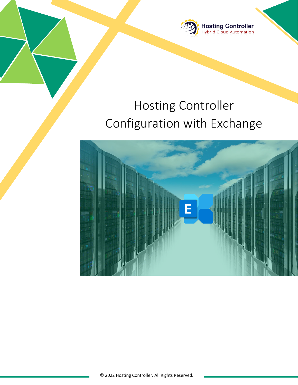

# Hosting Controller Configuration with Exchange

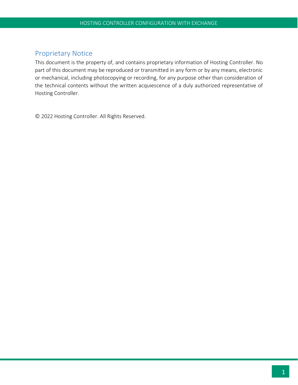## <span id="page-1-0"></span>Proprietary Notice

This document is the property of, and contains proprietary information of Hosting Controller. No part of this document may be reproduced or transmitted in any form or by any means, electronic or mechanical, including photocopying or recording, for any purpose other than consideration of the technical contents without the written acquiescence of a duly authorized representative of Hosting Controller.

© 2022 Hosting Controller. All Rights Reserved.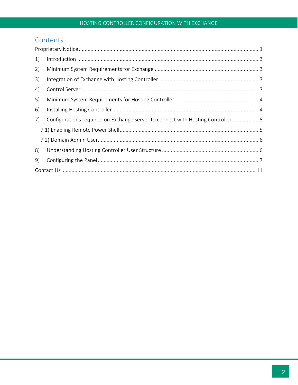# Contents

| 1) |                                                                                |  |
|----|--------------------------------------------------------------------------------|--|
| 2) |                                                                                |  |
| 3) |                                                                                |  |
| 4) |                                                                                |  |
| 5) |                                                                                |  |
| 6) |                                                                                |  |
| 7) | Configurations required on Exchange server to connect with Hosting Controller5 |  |
|    |                                                                                |  |
|    |                                                                                |  |
| 8) |                                                                                |  |
| 9) |                                                                                |  |
|    |                                                                                |  |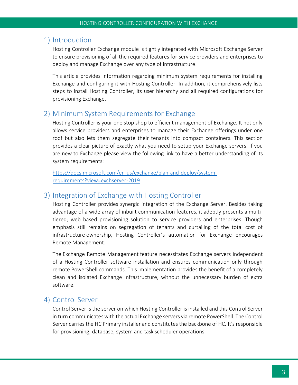## <span id="page-3-0"></span>1) Introduction

Hosting Controller Exchange module is tightly integrated with Microsoft Exchange Server to ensure provisioning of all the required features for service providers and enterprises to deploy and manage Exchange over any type of infrastructure.

This article provides information regarding minimum system requirements for installing Exchange and configuring it with Hosting Controller. In addition, it comprehensively lists steps to install Hosting Controller, its user hierarchy and all required configurations for provisioning Exchange.

#### <span id="page-3-1"></span>2) Minimum System Requirements for Exchange

Hosting Controller is your one stop shop to efficient management of Exchange. It not only allows service providers and enterprises to manage their Exchange offerings under one roof but also lets them segregate their tenants into compact containers. This section provides a clear picture of exactly what you need to setup your Exchange servers. If you are new to Exchange please view the following link to have a better understanding of its system requirements:

[https://docs.microsoft.com/en-us/exchange/plan-and-deploy/system](https://docs.microsoft.com/en-us/exchange/plan-and-deploy/system-requirements?view=exchserver-2019)[requirements?view=exchserver-2019](https://docs.microsoft.com/en-us/exchange/plan-and-deploy/system-requirements?view=exchserver-2019)

#### <span id="page-3-2"></span>3) Integration of Exchange with Hosting Controller

Hosting Controller provides synergic integration of the Exchange Server. Besides taking advantage of a wide array of inbuilt communication features, it adeptly presents a multitiered; web based provisioning solution to service providers and enterprises. Though emphasis still remains on segregation of tenants and curtailing of the total cost of infrastructure ownership, Hosting Controller's automation for Exchange encourages Remote Management.

The Exchange Remote Management feature necessitates Exchange servers independent of a Hosting Controller software installation and ensures communication only through remote PowerShell commands. This implementation provides the benefit of a completely clean and isolated Exchange infrastructure, without the unnecessary burden of extra software.

#### <span id="page-3-3"></span>4) Control Server

Control Server is the server on which Hosting Controller is installed and this Control Server in turn communicates with the actual Exchange servers via remote PowerShell. The Control Server carries the HC Primary installer and constitutes the backbone of HC. It's responsible for provisioning, database, system and task scheduler operations.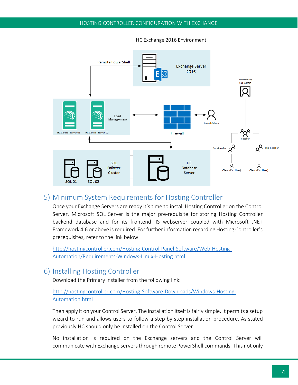

HC Exchange 2016 Environment

#### <span id="page-4-0"></span>5) Minimum System Requirements for Hosting Controller

Once your Exchange Servers are ready it's time to install Hosting Controller on the Control Server. Microsoft SQL Server is the major pre-requisite for storing Hosting Controller backend database and for its frontend IIS webserver coupled with Microsoft .NET Framework 4.6 or above is required. For further information regarding Hosting Controller's prerequisites, refer to the link below:

[http://hostingcontroller.com/Hosting-Control-Panel-Software/Web-Hosting-](http://hostingcontroller.com/Hosting-Control-Panel-Software/Web-Hosting-Automation/Requirements-Windows-Linux-Hosting.html)[Automation/Requirements-Windows-Linux-Hosting.html](http://hostingcontroller.com/Hosting-Control-Panel-Software/Web-Hosting-Automation/Requirements-Windows-Linux-Hosting.html)

#### <span id="page-4-1"></span>6) Installing Hosting Controller

Download the Primary installer from the following link:

#### [http://hostingcontroller.com/Hosting-Software-Downloads/Windows-Hosting-](http://hostingcontroller.com/Hosting-Software-Downloads/Windows-Hosting-Automation.html)[Automation.html](http://hostingcontroller.com/Hosting-Software-Downloads/Windows-Hosting-Automation.html)

Then apply it on your Control Server. The installation itself is fairly simple. It permits a setup wizard to run and allows users to follow a step by step installation procedure. As stated previously HC should only be installed on the Control Server.

No installation is required on the Exchange servers and the Control Server will communicate with Exchange servers through remote PowerShell commands. This not only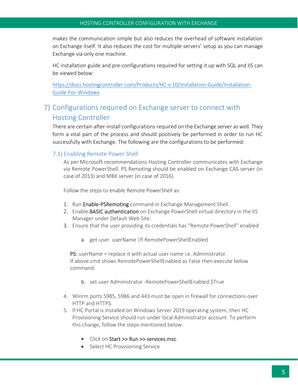makes the communication simple but also reduces the overhead of software installation on Exchange itself. It also reduces the cost for multiple servers' setup as you can manage Exchange via only one machine.

HC installation guide and pre-configurations required for setting it up with SQL and IIS can be viewed below:

[https://docs.hostingcontroller.com/Products/HC-v.10/Installation-Guide/Installation-](https://docs.hostingcontroller.com/Products/HC-v.10/Installation-Guide/Installation-Guide-For-Windows)[Guide-For-Windows](https://docs.hostingcontroller.com/Products/HC-v.10/Installation-Guide/Installation-Guide-For-Windows)

# <span id="page-5-0"></span>7) Configurations required on Exchange server to connect with Hosting Controller

There are certain after-install configurations required on the Exchange server as well. They form a vital part of the process and should positively be performed in order to run HC successfully with Exchange. The following are the configurations to be performed:

#### <span id="page-5-1"></span>7.1) Enabling Remote Power Shell

As per Microsoft recommendations Hosting Controller communicates with Exchange via Remote PowerShell. PS Remoting should be enabled on Exchange CAS server (in case of 2013) and MBX server (in case of 2016).

Follow the steps to enable Remote PowerShell as:

- 1. Run Enable-PSRemoting command in Exchange Management Shell.
- 2. Enable BASIC authentication on Exchange PowerShell virtual directory in the IIS Manager under Default Web Site.
- 3. Ensure that the user providing its credentials has "Remote PowerShell" enabled
	- a. get-user userName |fl RemotePowerShellEnabled

PS: userName = replace it with actual user name i.e. Administrator. If above cmd shows RemotePowerShellEnabled as False then execute below command.

- b. set-user Administrator -RemotePowerShellEnabled \$True
- 4. Winrm ports 5985, 5986 and 443 must be open in firewall for connections over HTTP and HTTPS.
- 5. If HC Portal is installed on Windows Server 2019 operating system, then HC Provisioning Service should run under local Administrator account. To perform this change, follow the steps mentioned below:
	- Click on Start >> Run >> services.msc.
	- Select HC Provisioning Service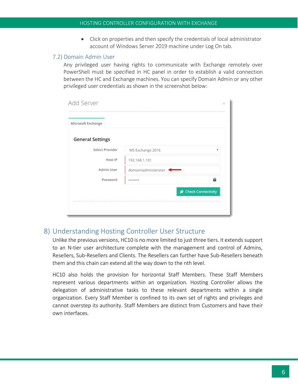• Click on properties and then specify the credentials of local administrator account of Windows Server 2019 machine under Log On tab.

#### <span id="page-6-0"></span>7.2) Domain Admin User

Any privileged user having rights to communicate with Exchange remotely over PowerShell must be specified in HC panel in order to establish a valid connection between the HC and Exchange machines. You can specify Domain Admin or any other privileged user credentials as shown in the screenshot below:

| <b>Add Server</b><br>Microsoft Exchange |                      | ×                  |
|-----------------------------------------|----------------------|--------------------|
| <b>General Settings</b>                 |                      |                    |
| <b>Select Provider</b>                  | MS Exchange 2016     | v                  |
| <b>Host IP</b>                          | 192.168.1.101        |                    |
| <b>Admin User</b>                       | domain\administrator |                    |
| Password                                |                      | る.                 |
|                                         |                      | Check Connectivity |
|                                         |                      |                    |
|                                         |                      |                    |

## <span id="page-6-1"></span>8) Understanding Hosting Controller User Structure

Unlike the previous versions, HC10 is no more limited to just three tiers. It extends support to an N-tier user architecture complete with the management and control of Admins, Resellers, Sub-Resellers and Clients. The Resellers can further have Sub-Resellers beneath them and this chain can extend all the way down to the nth level.

HC10 also holds the provision for horizontal Staff Members. These Staff Members represent various departments within an organization. Hosting Controller allows the delegation of administrative tasks to these relevant departments within a single organization. Every Staff Member is confined to its own set of rights and privileges and cannot overstep its authority. Staff Members are distinct from Customers and have their own interfaces.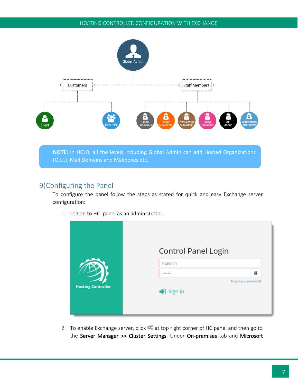

**NOTE:** In HC10, all the levels including Global Admin can add Hosted Organizations (O.U.), Mail Domains and Mailboxes etc.

# <span id="page-7-0"></span>9)Configuring the Panel

To configure the panel follow the steps as stated for quick and easy Exchange server configuration:

1. Log on to HC panel as an administrator.

|                           | Control Panel Login                                    |
|---------------------------|--------------------------------------------------------|
|                           | hcadmin<br>a<br>*******                                |
| <b>Hosting Controller</b> | Forgot your password?<br>$\blacktriangleright$ Sign in |

2. To enable Exchange server, click  $\bullet$  at top right corner of HC panel and then go to the Server Manager >> Cluster Settings. Under On-premises tab and Microsoft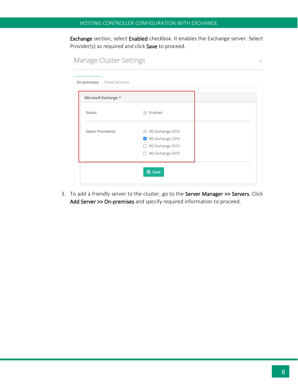Exchange section, select Enabled checkbox. It enables the Exchange server. Select Provider(s) as required and click Save to proceed.

| Microsoft Exchange * |                    |  |
|----------------------|--------------------|--|
| <b>Status</b>        | <b>Enabled</b>     |  |
| Select Provider(s)   | MS Exchange 2019   |  |
|                      | MS Exchange 2016   |  |
|                      | □ MS Exchange 2013 |  |
|                      | □ MS Exchange 2010 |  |

3. To add a friendly server to the cluster, go to the Server Manager >> Servers. Click Add Server >> On-premises and specify required information to proceed.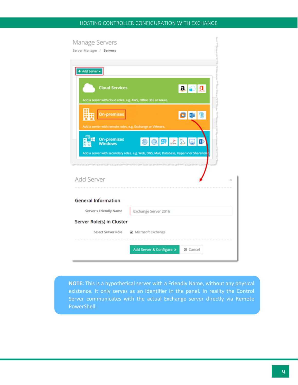| Manage Servers                                                                                                                                                              |  |
|-----------------------------------------------------------------------------------------------------------------------------------------------------------------------------|--|
| Server Manager / Servers                                                                                                                                                    |  |
|                                                                                                                                                                             |  |
| + Add Server +                                                                                                                                                              |  |
| $ {\bf 2} $ $\oplus$ $ {\bf 1} $<br><b>Cloud Services</b><br>Add a server with cloud roles. e.g. AWS, Office 365 or Azure.                                                  |  |
| <b>On-premises</b><br>$\begin{array}{ c c c }\hline \textbf{O} & \textbf{O} & \textbf{S} \\ \hline \end{array}$<br>Add a server with remote roles, e.g. Exchange or VMware. |  |
| O O Z Z D O<br><b>On-premises</b><br><b>Windows</b><br>Add a server with secondary roles, e.g. Web, DNS, Mail, Database, Hyper-V or SharePoir                               |  |
| <b>Add Server</b><br>×                                                                                                                                                      |  |
| <b>General Information</b>                                                                                                                                                  |  |
| Server's Friendly Name<br>Exchange Server 2016                                                                                                                              |  |
| Server Role(s) in Cluster                                                                                                                                                   |  |
| <b>Select Server Role</b><br>Microsoft Exchange                                                                                                                             |  |
|                                                                                                                                                                             |  |
| Add Server & Configure »<br><b>Ø</b> Cancel                                                                                                                                 |  |

**NOTE:** This is a hypothetical server with a Friendly Name, without any physical existence. It only serves as an identifier in the panel. In reality the Control Server communicates with the actual Exchange server directly via Remote PowerShell.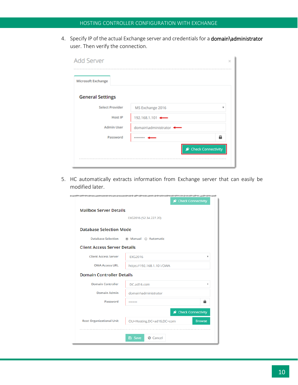4. Specify IP of the actual Exchange server and credentials for a domain\administrator user. Then verify the connection.

| Microsoft Exchange      |                        |   |
|-------------------------|------------------------|---|
| <b>General Settings</b> |                        |   |
| <b>Select Provider</b>  | MS Exchange 2016       | ٠ |
| <b>Host IP</b>          | 192.168.1.101 -        |   |
| <b>Admin User</b>       | domain\administrator . |   |
| Password                |                        | a |

5. HC automatically extracts information from Exchange server that can easily be modified later.

|                                     | الموساة واستواريس ماستان مالك مايد والسالة مالك المستقمة والمنافسين مالك ماليا والمنافس |               |
|-------------------------------------|-----------------------------------------------------------------------------------------|---------------|
|                                     | Check Connectivity                                                                      |               |
| <b>Mailbox Server Details</b>       |                                                                                         |               |
|                                     | EXG2016 (52.34.227.20)                                                                  |               |
| <b>Database Selection Mode</b>      |                                                                                         |               |
| <b>Database Selection</b>           | ◉ Manual ⊙ Automatic                                                                    |               |
| <b>Client Access Server Details</b> |                                                                                         |               |
| <b>Client Access Server</b>         | <b>EXG2016</b>                                                                          | v             |
| <b>OWA Access URL</b>               | https://192.168.1.101/OWA                                                               |               |
| <b>Domain Controller Details</b>    |                                                                                         |               |
| <b>Domain Controller</b>            | DC.ad16.com                                                                             | v             |
| <b>Domain Admin</b>                 | domain\administrator                                                                    |               |
| Password                            |                                                                                         | a             |
|                                     | Check Connectivity                                                                      |               |
| <b>Root Organizational Unit</b>     | OU=Hosting,DC=ad16,DC=com                                                               | <b>Browse</b> |
|                                     |                                                                                         |               |
|                                     | <b>A</b> Save<br><b>Ø</b> Cancel                                                        |               |